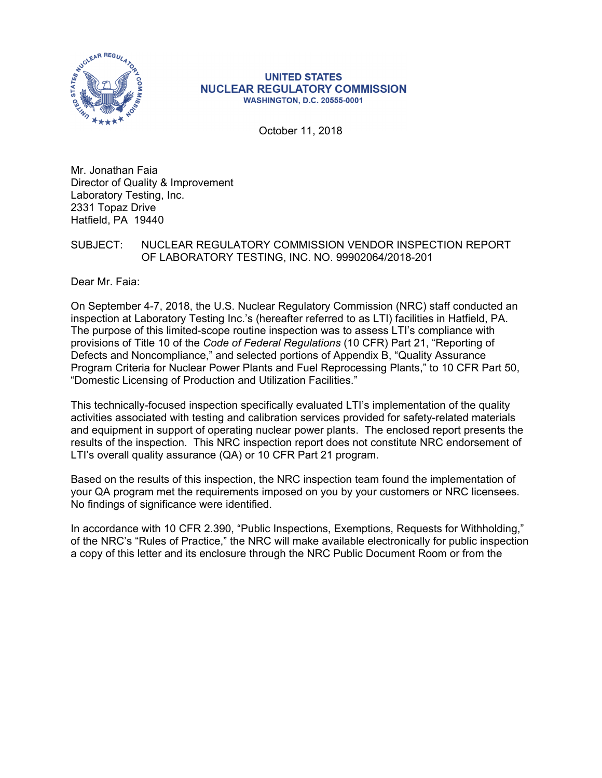

#### **UNITED STATES NUCLEAR REGULATORY COMMISSION WASHINGTON, D.C. 20555-0001**

October 11, 2018

Mr. Jonathan Faia Director of Quality & Improvement Laboratory Testing, Inc. 2331 Topaz Drive Hatfield, PA 19440

# SUBJECT: NUCLEAR REGULATORY COMMISSION VENDOR INSPECTION REPORT OF LABORATORY TESTING, INC. NO. 99902064/2018-201

Dear Mr. Faia:

On September 4-7, 2018, the U.S. Nuclear Regulatory Commission (NRC) staff conducted an inspection at Laboratory Testing Inc.'s (hereafter referred to as LTI) facilities in Hatfield, PA. The purpose of this limited-scope routine inspection was to assess LTI's compliance with provisions of Title 10 of the *Code of Federal Regulations* (10 CFR) Part 21, "Reporting of Defects and Noncompliance," and selected portions of Appendix B, "Quality Assurance Program Criteria for Nuclear Power Plants and Fuel Reprocessing Plants," to 10 CFR Part 50, "Domestic Licensing of Production and Utilization Facilities."

This technically-focused inspection specifically evaluated LTI's implementation of the quality activities associated with testing and calibration services provided for safety-related materials and equipment in support of operating nuclear power plants. The enclosed report presents the results of the inspection. This NRC inspection report does not constitute NRC endorsement of LTI's overall quality assurance (QA) or 10 CFR Part 21 program.

Based on the results of this inspection, the NRC inspection team found the implementation of your QA program met the requirements imposed on you by your customers or NRC licensees. No findings of significance were identified.

In accordance with 10 CFR 2.390, "Public Inspections, Exemptions, Requests for Withholding," of the NRC's "Rules of Practice," the NRC will make available electronically for public inspection a copy of this letter and its enclosure through the NRC Public Document Room or from the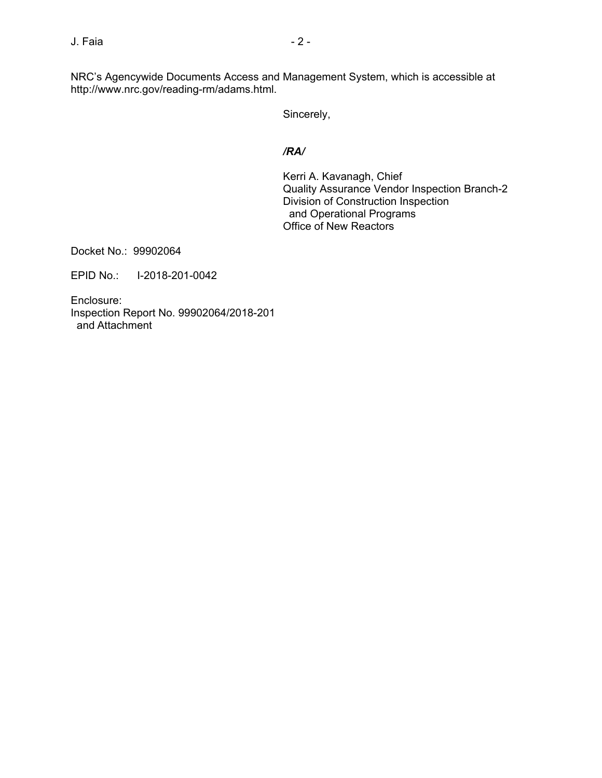NRC's Agencywide Documents Access and Management System, which is accessible at http://www.nrc.gov/reading-rm/adams.html.

Sincerely,

# */RA/*

Kerri A. Kavanagh, Chief Quality Assurance Vendor Inspection Branch-2 Division of Construction Inspection and Operational Programs Office of New Reactors

Docket No.: 99902064

EPID No.: I-2018-201-0042

Enclosure: Inspection Report No. 99902064/2018-201 and Attachment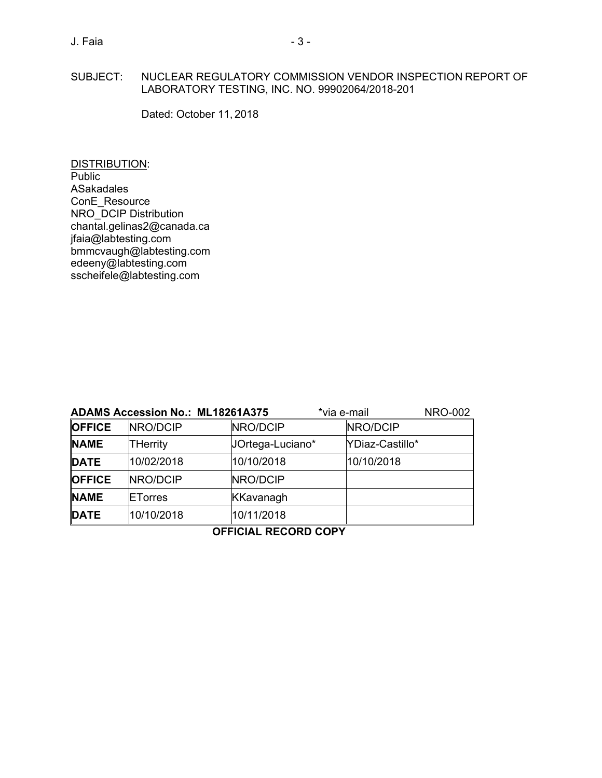# J. Faia 2012 12:20 12:20 12:20 12:20 12:20 12:20 12:20 12:20 12:20 12:20 12:20 12:20 12:20 12:20 12:20 12:20 1

# SUBJECT: NUCLEAR REGULATORY COMMISSION VENDOR INSPECTION REPORT OF LABORATORY TESTING, INC. NO. 99902064/2018-201

Dated: October 11, 2018

DISTRIBUTION: Public ASakadales ConE\_Resource NRO\_DCIP Distribution chantal.gelinas2@canada.ca jfaia@labtesting.com bmmcvaugh@labtesting.com edeeny@labtesting.com sscheifele@labtesting.com

| <b>ADAMS Accession No.: ML18261A375</b> |                |                  | *via e-mail |                 | <b>NRO-002</b> |
|-----------------------------------------|----------------|------------------|-------------|-----------------|----------------|
| <b>OFFICE</b>                           | NRO/DCIP       | NRO/DCIP         |             | NRO/DCIP        |                |
| <b>NAME</b>                             | THerrity       | JOrtega-Luciano* |             | YDiaz-Castillo* |                |
| <b>DATE</b>                             | 10/02/2018     | 10/10/2018       |             | 10/10/2018      |                |
| <b>OFFICE</b>                           | NRO/DCIP       | NRO/DCIP         |             |                 |                |
| <b>NAME</b>                             | <b>ETorres</b> | <b>KKavanagh</b> |             |                 |                |
| <b>DATE</b>                             | 10/10/2018     | 10/11/2018       |             |                 |                |
|                                         |                |                  |             |                 |                |

**OFFICIAL RECORD COPY**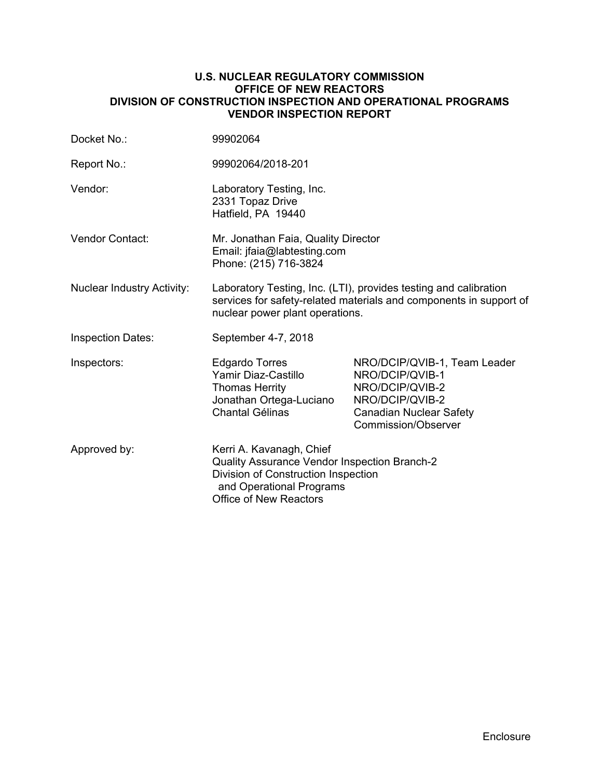## **U.S. NUCLEAR REGULATORY COMMISSION OFFICE OF NEW REACTORS DIVISION OF CONSTRUCTION INSPECTION AND OPERATIONAL PROGRAMS VENDOR INSPECTION REPORT**

| Docket No.:                       | 99902064                                                                                                                                                                     |                                                                                                                                                       |  |
|-----------------------------------|------------------------------------------------------------------------------------------------------------------------------------------------------------------------------|-------------------------------------------------------------------------------------------------------------------------------------------------------|--|
| Report No.:                       | 99902064/2018-201                                                                                                                                                            |                                                                                                                                                       |  |
| Vendor:                           | Laboratory Testing, Inc.<br>2331 Topaz Drive<br>Hatfield, PA 19440                                                                                                           |                                                                                                                                                       |  |
| <b>Vendor Contact:</b>            | Mr. Jonathan Faia, Quality Director<br>Email: jfaia@labtesting.com<br>Phone: (215) 716-3824                                                                                  |                                                                                                                                                       |  |
| <b>Nuclear Industry Activity:</b> | Laboratory Testing, Inc. (LTI), provides testing and calibration<br>services for safety-related materials and components in support of<br>nuclear power plant operations.    |                                                                                                                                                       |  |
| <b>Inspection Dates:</b>          | September 4-7, 2018                                                                                                                                                          |                                                                                                                                                       |  |
| Inspectors:                       | <b>Edgardo Torres</b><br>Yamir Diaz-Castillo<br><b>Thomas Herrity</b><br>Jonathan Ortega-Luciano<br><b>Chantal Gélinas</b>                                                   | NRO/DCIP/QVIB-1, Team Leader<br>NRO/DCIP/QVIB-1<br>NRO/DCIP/QVIB-2<br>NRO/DCIP/QVIB-2<br><b>Canadian Nuclear Safety</b><br><b>Commission/Observer</b> |  |
| Approved by:                      | Kerri A. Kavanagh, Chief<br>Quality Assurance Vendor Inspection Branch-2<br>Division of Construction Inspection<br>and Operational Programs<br><b>Office of New Reactors</b> |                                                                                                                                                       |  |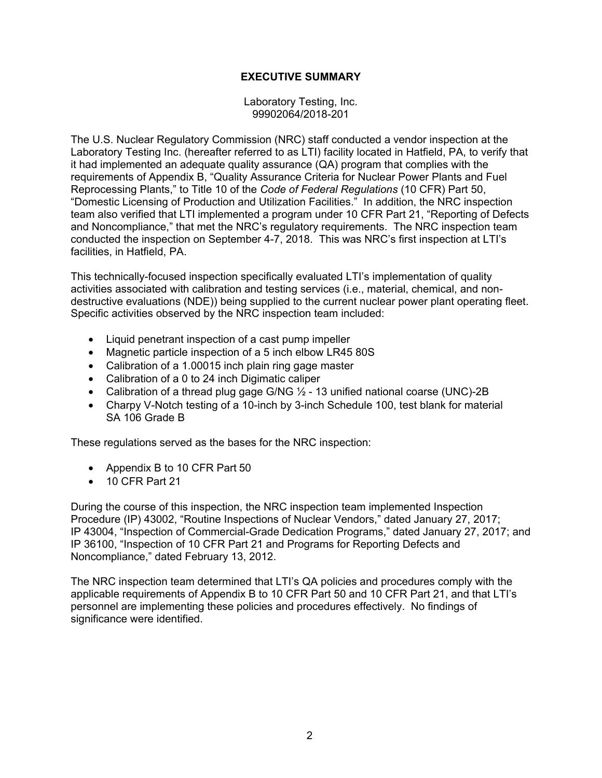# **EXECUTIVE SUMMARY**

Laboratory Testing, Inc. 99902064/2018-201

The U.S. Nuclear Regulatory Commission (NRC) staff conducted a vendor inspection at the Laboratory Testing Inc. (hereafter referred to as LTI) facility located in Hatfield, PA, to verify that it had implemented an adequate quality assurance (QA) program that complies with the requirements of Appendix B, "Quality Assurance Criteria for Nuclear Power Plants and Fuel Reprocessing Plants," to Title 10 of the *Code of Federal Regulations* (10 CFR) Part 50, "Domestic Licensing of Production and Utilization Facilities." In addition, the NRC inspection team also verified that LTI implemented a program under 10 CFR Part 21, "Reporting of Defects and Noncompliance," that met the NRC's regulatory requirements. The NRC inspection team conducted the inspection on September 4-7, 2018. This was NRC's first inspection at LTI's facilities, in Hatfield, PA.

This technically-focused inspection specifically evaluated LTI's implementation of quality activities associated with calibration and testing services (i.e., material, chemical, and nondestructive evaluations (NDE)) being supplied to the current nuclear power plant operating fleet. Specific activities observed by the NRC inspection team included:

- Liquid penetrant inspection of a cast pump impeller
- Magnetic particle inspection of a 5 inch elbow LR45 80S
- Calibration of a 1.00015 inch plain ring gage master
- Calibration of a 0 to 24 inch Digimatic caliper
- Calibration of a thread plug gage G/NG  $\frac{1}{2}$  13 unified national coarse (UNC)-2B
- Charpy V-Notch testing of a 10-inch by 3-inch Schedule 100, test blank for material SA 106 Grade B

These regulations served as the bases for the NRC inspection:

- Appendix B to 10 CFR Part 50
- 10 CFR Part 21

During the course of this inspection, the NRC inspection team implemented Inspection Procedure (IP) 43002, "Routine Inspections of Nuclear Vendors," dated January 27, 2017; IP 43004, "Inspection of Commercial-Grade Dedication Programs," dated January 27, 2017; and IP 36100, "Inspection of 10 CFR Part 21 and Programs for Reporting Defects and Noncompliance," dated February 13, 2012.

The NRC inspection team determined that LTI's QA policies and procedures comply with the applicable requirements of Appendix B to 10 CFR Part 50 and 10 CFR Part 21, and that LTI's personnel are implementing these policies and procedures effectively. No findings of significance were identified.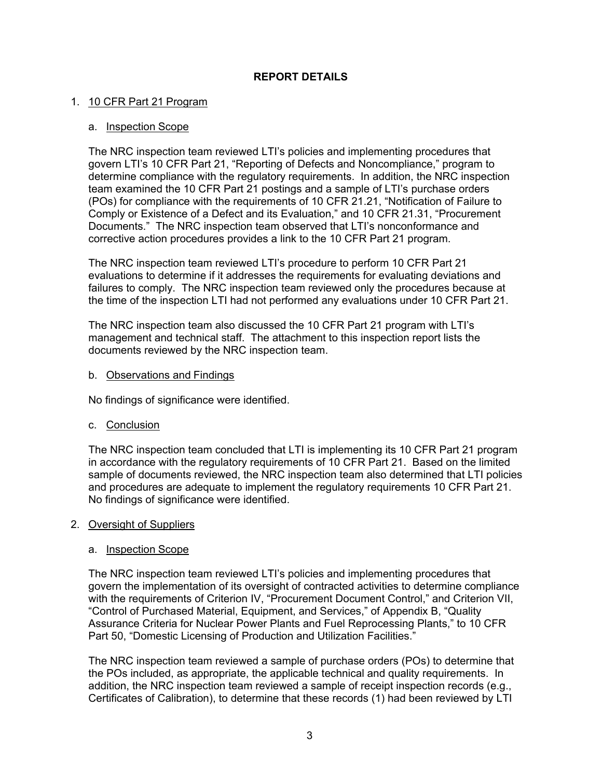# **REPORT DETAILS**

# 1. 10 CFR Part 21 Program

## a. Inspection Scope

The NRC inspection team reviewed LTI's policies and implementing procedures that govern LTI's 10 CFR Part 21, "Reporting of Defects and Noncompliance," program to determine compliance with the regulatory requirements. In addition, the NRC inspection team examined the 10 CFR Part 21 postings and a sample of LTI's purchase orders (POs) for compliance with the requirements of 10 CFR 21.21, "Notification of Failure to Comply or Existence of a Defect and its Evaluation," and 10 CFR 21.31, "Procurement Documents." The NRC inspection team observed that LTI's nonconformance and corrective action procedures provides a link to the 10 CFR Part 21 program.

The NRC inspection team reviewed LTI's procedure to perform 10 CFR Part 21 evaluations to determine if it addresses the requirements for evaluating deviations and failures to comply. The NRC inspection team reviewed only the procedures because at the time of the inspection LTI had not performed any evaluations under 10 CFR Part 21.

The NRC inspection team also discussed the 10 CFR Part 21 program with LTI's management and technical staff. The attachment to this inspection report lists the documents reviewed by the NRC inspection team.

b. Observations and Findings

No findings of significance were identified.

c. Conclusion

The NRC inspection team concluded that LTI is implementing its 10 CFR Part 21 program in accordance with the regulatory requirements of 10 CFR Part 21. Based on the limited sample of documents reviewed, the NRC inspection team also determined that LTI policies and procedures are adequate to implement the regulatory requirements 10 CFR Part 21. No findings of significance were identified.

#### 2. Oversight of Suppliers

#### a. Inspection Scope

The NRC inspection team reviewed LTI's policies and implementing procedures that govern the implementation of its oversight of contracted activities to determine compliance with the requirements of Criterion IV, "Procurement Document Control," and Criterion VII, "Control of Purchased Material, Equipment, and Services," of Appendix B, "Quality Assurance Criteria for Nuclear Power Plants and Fuel Reprocessing Plants," to 10 CFR Part 50, "Domestic Licensing of Production and Utilization Facilities."

The NRC inspection team reviewed a sample of purchase orders (POs) to determine that the POs included, as appropriate, the applicable technical and quality requirements. In addition, the NRC inspection team reviewed a sample of receipt inspection records (e.g., Certificates of Calibration), to determine that these records (1) had been reviewed by LTI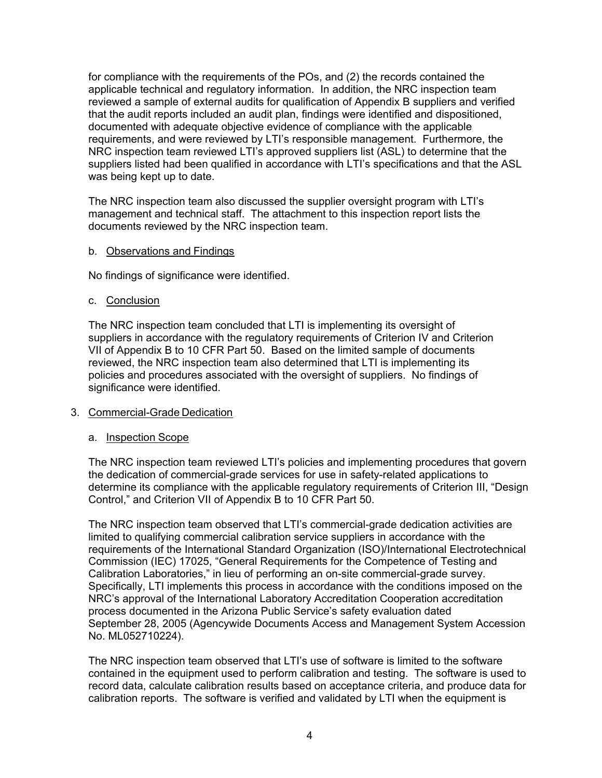for compliance with the requirements of the POs, and (2) the records contained the applicable technical and regulatory information. In addition, the NRC inspection team reviewed a sample of external audits for qualification of Appendix B suppliers and verified that the audit reports included an audit plan, findings were identified and dispositioned, documented with adequate objective evidence of compliance with the applicable requirements, and were reviewed by LTI's responsible management. Furthermore, the NRC inspection team reviewed LTI's approved suppliers list (ASL) to determine that the suppliers listed had been qualified in accordance with LTI's specifications and that the ASL was being kept up to date.

The NRC inspection team also discussed the supplier oversight program with LTI's management and technical staff. The attachment to this inspection report lists the documents reviewed by the NRC inspection team.

## b. Observations and Findings

No findings of significance were identified.

## c. Conclusion

The NRC inspection team concluded that LTI is implementing its oversight of suppliers in accordance with the regulatory requirements of Criterion IV and Criterion VII of Appendix B to 10 CFR Part 50. Based on the limited sample of documents reviewed, the NRC inspection team also determined that LTI is implementing its policies and procedures associated with the oversight of suppliers. No findings of significance were identified.

#### 3. Commercial-Grade Dedication

#### a. Inspection Scope

The NRC inspection team reviewed LTI's policies and implementing procedures that govern the dedication of commercial-grade services for use in safety-related applications to determine its compliance with the applicable regulatory requirements of Criterion III, "Design Control," and Criterion VII of Appendix B to 10 CFR Part 50.

The NRC inspection team observed that LTI's commercial-grade dedication activities are limited to qualifying commercial calibration service suppliers in accordance with the requirements of the International Standard Organization (ISO)/International Electrotechnical Commission (IEC) 17025, "General Requirements for the Competence of Testing and Calibration Laboratories," in lieu of performing an on-site commercial-grade survey. Specifically, LTI implements this process in accordance with the conditions imposed on the NRC's approval of the International Laboratory Accreditation Cooperation accreditation process documented in the Arizona Public Service's safety evaluation dated September 28, 2005 (Agencywide Documents Access and Management System Accession No. ML052710224).

The NRC inspection team observed that LTI's use of software is limited to the software contained in the equipment used to perform calibration and testing. The software is used to record data, calculate calibration results based on acceptance criteria, and produce data for calibration reports. The software is verified and validated by LTI when the equipment is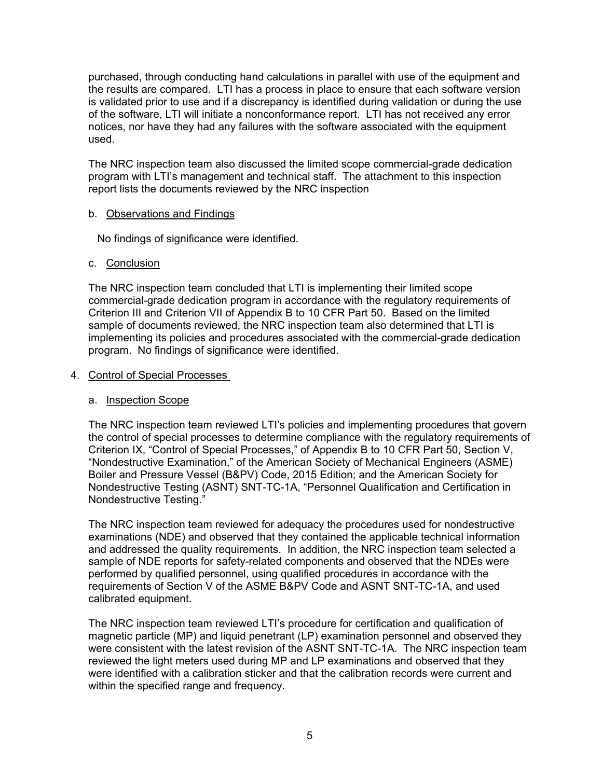purchased, through conducting hand calculations in parallel with use of the equipment and the results are compared. LTI has a process in place to ensure that each software version is validated prior to use and if a discrepancy is identified during validation or during the use of the software, LTI will initiate a nonconformance report. LTI has not received any error notices, nor have they had any failures with the software associated with the equipment used.

The NRC inspection team also discussed the limited scope commercial-grade dedication program with LTI's management and technical staff. The attachment to this inspection report lists the documents reviewed by the NRC inspection

# b. Observations and Findings

No findings of significance were identified.

## c. Conclusion

The NRC inspection team concluded that LTI is implementing their limited scope commercial-grade dedication program in accordance with the regulatory requirements of Criterion III and Criterion VII of Appendix B to 10 CFR Part 50. Based on the limited sample of documents reviewed, the NRC inspection team also determined that LTI is implementing its policies and procedures associated with the commercial-grade dedication program. No findings of significance were identified.

## 4. Control of Special Processes

# a. Inspection Scope

The NRC inspection team reviewed LTI's policies and implementing procedures that govern the control of special processes to determine compliance with the regulatory requirements of Criterion IX, "Control of Special Processes," of Appendix B to 10 CFR Part 50, Section V, "Nondestructive Examination," of the American Society of Mechanical Engineers (ASME) Boiler and Pressure Vessel (B&PV) Code, 2015 Edition; and the American Society for Nondestructive Testing (ASNT) SNT-TC-1A, "Personnel Qualification and Certification in Nondestructive Testing."

The NRC inspection team reviewed for adequacy the procedures used for nondestructive examinations (NDE) and observed that they contained the applicable technical information and addressed the quality requirements. In addition, the NRC inspection team selected a sample of NDE reports for safety-related components and observed that the NDEs were performed by qualified personnel, using qualified procedures in accordance with the requirements of Section V of the ASME B&PV Code and ASNT SNT-TC-1A, and used calibrated equipment.

The NRC inspection team reviewed LTI's procedure for certification and qualification of magnetic particle (MP) and liquid penetrant (LP) examination personnel and observed they were consistent with the latest revision of the ASNT SNT-TC-1A. The NRC inspection team reviewed the light meters used during MP and LP examinations and observed that they were identified with a calibration sticker and that the calibration records were current and within the specified range and frequency.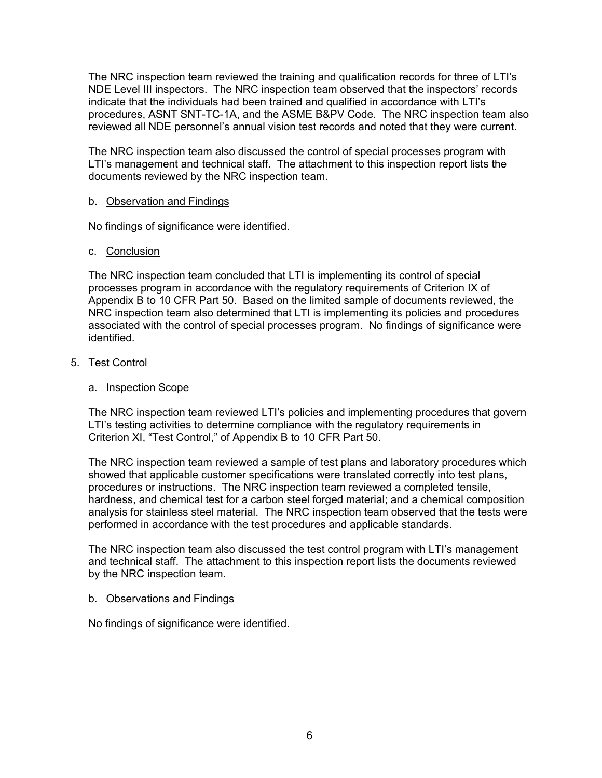The NRC inspection team reviewed the training and qualification records for three of LTI's NDE Level III inspectors. The NRC inspection team observed that the inspectors' records indicate that the individuals had been trained and qualified in accordance with LTI's procedures, ASNT SNT-TC-1A, and the ASME B&PV Code. The NRC inspection team also reviewed all NDE personnel's annual vision test records and noted that they were current.

The NRC inspection team also discussed the control of special processes program with LTI's management and technical staff. The attachment to this inspection report lists the documents reviewed by the NRC inspection team.

## b. Observation and Findings

No findings of significance were identified.

## c. Conclusion

The NRC inspection team concluded that LTI is implementing its control of special processes program in accordance with the regulatory requirements of Criterion IX of Appendix B to 10 CFR Part 50. Based on the limited sample of documents reviewed, the NRC inspection team also determined that LTI is implementing its policies and procedures associated with the control of special processes program. No findings of significance were identified.

## 5. Test Control

## a. Inspection Scope

The NRC inspection team reviewed LTI's policies and implementing procedures that govern LTI's testing activities to determine compliance with the regulatory requirements in Criterion XI, "Test Control," of Appendix B to 10 CFR Part 50.

The NRC inspection team reviewed a sample of test plans and laboratory procedures which showed that applicable customer specifications were translated correctly into test plans, procedures or instructions. The NRC inspection team reviewed a completed tensile, hardness, and chemical test for a carbon steel forged material; and a chemical composition analysis for stainless steel material. The NRC inspection team observed that the tests were performed in accordance with the test procedures and applicable standards.

The NRC inspection team also discussed the test control program with LTI's management and technical staff. The attachment to this inspection report lists the documents reviewed by the NRC inspection team.

#### b. Observations and Findings

No findings of significance were identified.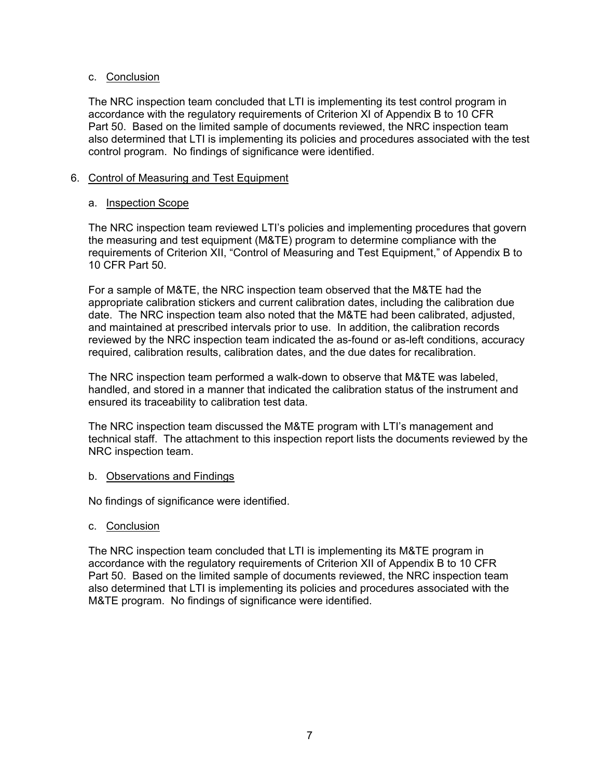# c. Conclusion

The NRC inspection team concluded that LTI is implementing its test control program in accordance with the regulatory requirements of Criterion XI of Appendix B to 10 CFR Part 50. Based on the limited sample of documents reviewed, the NRC inspection team also determined that LTI is implementing its policies and procedures associated with the test control program. No findings of significance were identified.

# 6. Control of Measuring and Test Equipment

## a. Inspection Scope

The NRC inspection team reviewed LTI's policies and implementing procedures that govern the measuring and test equipment (M&TE) program to determine compliance with the requirements of Criterion XII, "Control of Measuring and Test Equipment," of Appendix B to 10 CFR Part 50.

For a sample of M&TE, the NRC inspection team observed that the M&TE had the appropriate calibration stickers and current calibration dates, including the calibration due date. The NRC inspection team also noted that the M&TE had been calibrated, adjusted, and maintained at prescribed intervals prior to use. In addition, the calibration records reviewed by the NRC inspection team indicated the as-found or as-left conditions, accuracy required, calibration results, calibration dates, and the due dates for recalibration.

The NRC inspection team performed a walk-down to observe that M&TE was labeled, handled, and stored in a manner that indicated the calibration status of the instrument and ensured its traceability to calibration test data.

The NRC inspection team discussed the M&TE program with LTI's management and technical staff. The attachment to this inspection report lists the documents reviewed by the NRC inspection team.

#### b. Observations and Findings

No findings of significance were identified.

# c. Conclusion

The NRC inspection team concluded that LTI is implementing its M&TE program in accordance with the regulatory requirements of Criterion XII of Appendix B to 10 CFR Part 50. Based on the limited sample of documents reviewed, the NRC inspection team also determined that LTI is implementing its policies and procedures associated with the M&TE program. No findings of significance were identified.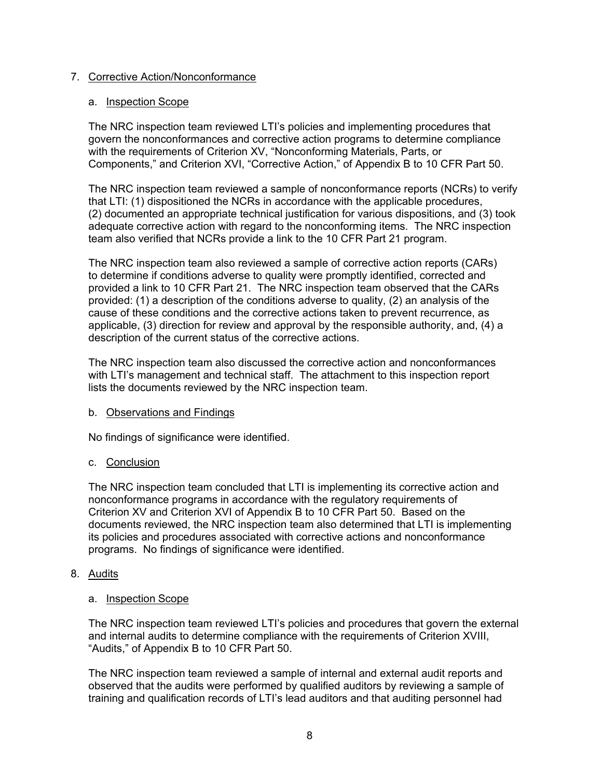# 7. Corrective Action/Nonconformance

## a. Inspection Scope

The NRC inspection team reviewed LTI's policies and implementing procedures that govern the nonconformances and corrective action programs to determine compliance with the requirements of Criterion XV, "Nonconforming Materials, Parts, or Components," and Criterion XVI, "Corrective Action," of Appendix B to 10 CFR Part 50.

The NRC inspection team reviewed a sample of nonconformance reports (NCRs) to verify that LTI: (1) dispositioned the NCRs in accordance with the applicable procedures, (2) documented an appropriate technical justification for various dispositions, and (3) took adequate corrective action with regard to the nonconforming items. The NRC inspection team also verified that NCRs provide a link to the 10 CFR Part 21 program.

The NRC inspection team also reviewed a sample of corrective action reports (CARs) to determine if conditions adverse to quality were promptly identified, corrected and provided a link to 10 CFR Part 21. The NRC inspection team observed that the CARs provided: (1) a description of the conditions adverse to quality, (2) an analysis of the cause of these conditions and the corrective actions taken to prevent recurrence, as applicable, (3) direction for review and approval by the responsible authority, and, (4) a description of the current status of the corrective actions.

The NRC inspection team also discussed the corrective action and nonconformances with LTI's management and technical staff. The attachment to this inspection report lists the documents reviewed by the NRC inspection team.

# b. Observations and Findings

No findings of significance were identified.

# c. Conclusion

The NRC inspection team concluded that LTI is implementing its corrective action and nonconformance programs in accordance with the regulatory requirements of Criterion XV and Criterion XVI of Appendix B to 10 CFR Part 50. Based on the documents reviewed, the NRC inspection team also determined that LTI is implementing its policies and procedures associated with corrective actions and nonconformance programs. No findings of significance were identified.

# 8. Audits

## a. Inspection Scope

The NRC inspection team reviewed LTI's policies and procedures that govern the external and internal audits to determine compliance with the requirements of Criterion XVIII, "Audits," of Appendix B to 10 CFR Part 50.

The NRC inspection team reviewed a sample of internal and external audit reports and observed that the audits were performed by qualified auditors by reviewing a sample of training and qualification records of LTI's lead auditors and that auditing personnel had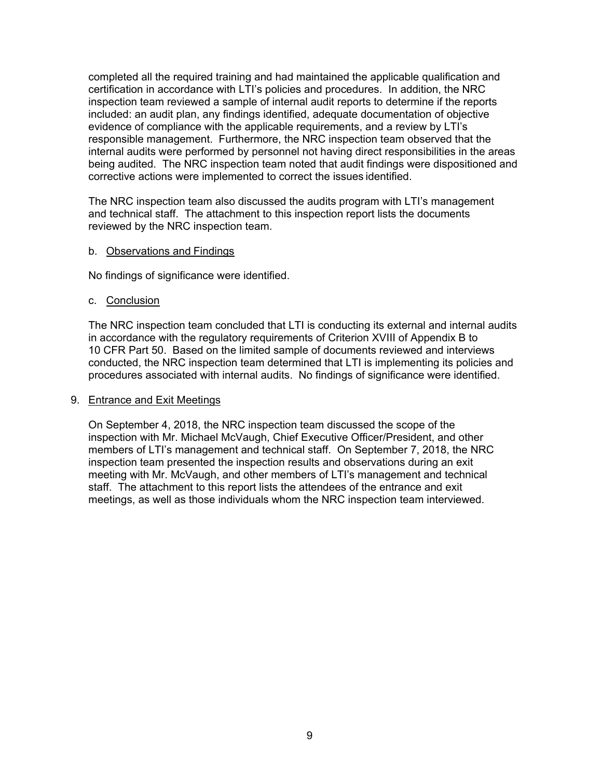completed all the required training and had maintained the applicable qualification and certification in accordance with LTI's policies and procedures. In addition, the NRC inspection team reviewed a sample of internal audit reports to determine if the reports included: an audit plan, any findings identified, adequate documentation of objective evidence of compliance with the applicable requirements, and a review by LTI's responsible management. Furthermore, the NRC inspection team observed that the internal audits were performed by personnel not having direct responsibilities in the areas being audited. The NRC inspection team noted that audit findings were dispositioned and corrective actions were implemented to correct the issues identified.

The NRC inspection team also discussed the audits program with LTI's management and technical staff. The attachment to this inspection report lists the documents reviewed by the NRC inspection team.

#### b. Observations and Findings

No findings of significance were identified.

## c. Conclusion

The NRC inspection team concluded that LTI is conducting its external and internal audits in accordance with the regulatory requirements of Criterion XVIII of Appendix B to 10 CFR Part 50. Based on the limited sample of documents reviewed and interviews conducted, the NRC inspection team determined that LTI is implementing its policies and procedures associated with internal audits. No findings of significance were identified.

#### 9. Entrance and Exit Meetings

On September 4, 2018, the NRC inspection team discussed the scope of the inspection with Mr. Michael McVaugh, Chief Executive Officer/President, and other members of LTI's management and technical staff. On September 7, 2018, the NRC inspection team presented the inspection results and observations during an exit meeting with Mr. McVaugh, and other members of LTI's management and technical staff. The attachment to this report lists the attendees of the entrance and exit meetings, as well as those individuals whom the NRC inspection team interviewed.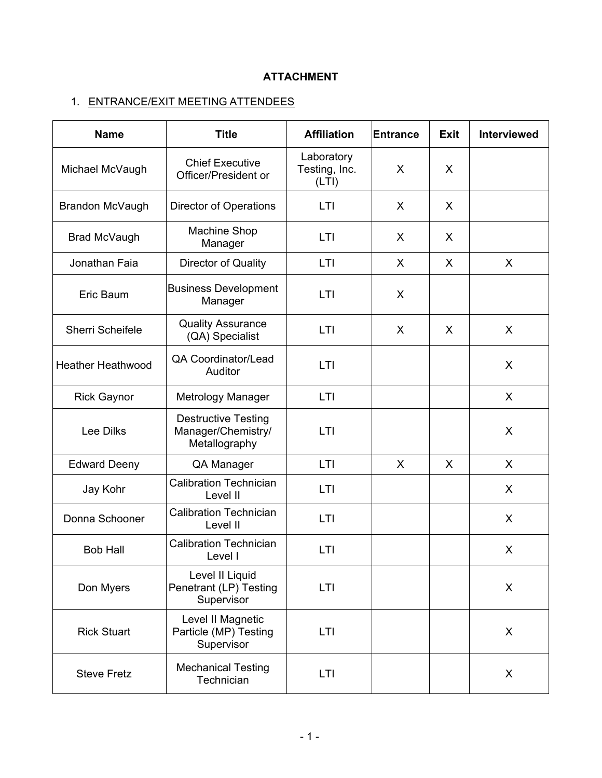# **ATTACHMENT**

# 1. ENTRANCE/EXIT MEETING ATTENDEES

| <b>Name</b>              | <b>Title</b>                                                      | <b>Affiliation</b>                   | Entrance | <b>Exit</b> | <b>Interviewed</b> |
|--------------------------|-------------------------------------------------------------------|--------------------------------------|----------|-------------|--------------------|
| Michael McVaugh          | <b>Chief Executive</b><br>Officer/President or                    | Laboratory<br>Testing, Inc.<br>(LTI) | X        | X           |                    |
| Brandon McVaugh          | <b>Director of Operations</b>                                     | LTI                                  | X        | X           |                    |
| Brad McVaugh             | <b>Machine Shop</b><br>Manager                                    | LTI                                  | X        | X           |                    |
| Jonathan Faia            | Director of Quality                                               | LTI                                  | X        | X           | X                  |
| Eric Baum                | <b>Business Development</b><br>Manager                            | LTI                                  | X        |             |                    |
| Sherri Scheifele         | <b>Quality Assurance</b><br>(QA) Specialist                       | LTI                                  | X        | X           | X                  |
| <b>Heather Heathwood</b> | <b>QA Coordinator/Lead</b><br>Auditor                             | LTI                                  |          |             | X                  |
| <b>Rick Gaynor</b>       | Metrology Manager                                                 | LTI                                  |          |             | X                  |
| <b>Lee Dilks</b>         | <b>Destructive Testing</b><br>Manager/Chemistry/<br>Metallography | LTI                                  |          |             | X                  |
| <b>Edward Deeny</b>      | QA Manager                                                        | LTI                                  | X        | X           | X                  |
| Jay Kohr                 | <b>Calibration Technician</b><br>Level II                         | LTI                                  |          |             | X                  |
| Donna Schooner           | <b>Calibration Technician</b><br>Level II                         | LTI                                  |          |             | X                  |
| <b>Bob Hall</b>          | <b>Calibration Technician</b><br>Level I                          | LTI                                  |          |             | X                  |
| Don Myers                | Level II Liquid<br>Penetrant (LP) Testing<br>Supervisor           | LTI                                  |          |             | X                  |
| <b>Rick Stuart</b>       | Level II Magnetic<br>Particle (MP) Testing<br>Supervisor          | LTI                                  |          |             | X                  |
| <b>Steve Fretz</b>       | <b>Mechanical Testing</b><br>Technician                           | LTI                                  |          |             | X                  |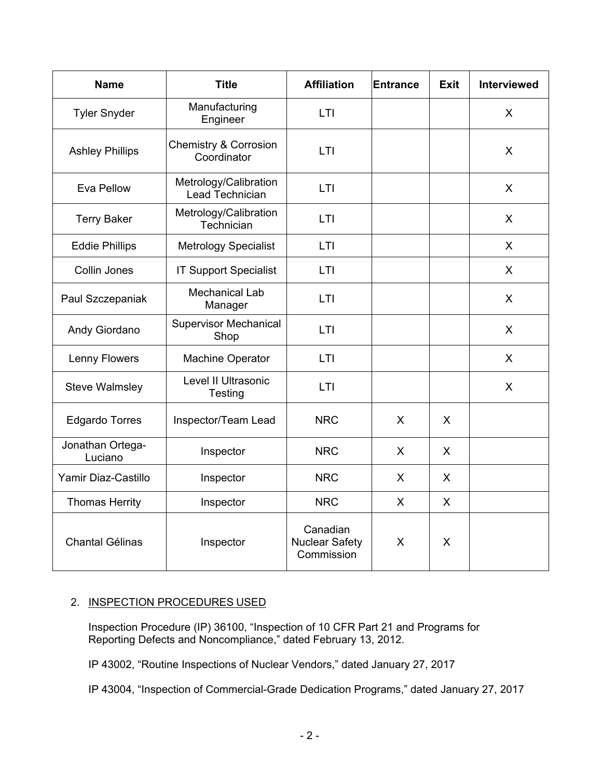| <b>Name</b>                 | <b>Title</b>                                    | <b>Affiliation</b>                              | Entrance | <b>Exit</b>  | <b>Interviewed</b> |
|-----------------------------|-------------------------------------------------|-------------------------------------------------|----------|--------------|--------------------|
| <b>Tyler Snyder</b>         | Manufacturing<br>Engineer                       | LTI                                             |          |              | X                  |
| <b>Ashley Phillips</b>      | <b>Chemistry &amp; Corrosion</b><br>Coordinator | LTI                                             |          |              | X                  |
| Eva Pellow                  | Metrology/Calibration<br>Lead Technician        | <b>LTI</b>                                      |          |              | $\sf X$            |
| <b>Terry Baker</b>          | Metrology/Calibration<br>Technician             | LTI                                             |          |              | X                  |
| <b>Eddie Phillips</b>       | <b>Metrology Specialist</b>                     | <b>LTI</b>                                      |          |              | $\sf X$            |
| Collin Jones                | <b>IT Support Specialist</b>                    | LTI                                             |          |              | $\sf X$            |
| Paul Szczepaniak            | <b>Mechanical Lab</b><br>Manager                | LTI                                             |          |              | X                  |
| Andy Giordano               | <b>Supervisor Mechanical</b><br>Shop            | LTI                                             |          |              | X                  |
| <b>Lenny Flowers</b>        | Machine Operator                                | LTI                                             |          |              | X                  |
| <b>Steve Walmsley</b>       | Level II Ultrasonic<br>Testing                  | LTI                                             |          |              | X                  |
| <b>Edgardo Torres</b>       | Inspector/Team Lead                             | <b>NRC</b>                                      | X        | X            |                    |
| Jonathan Ortega-<br>Luciano | Inspector                                       | <b>NRC</b>                                      | X.       | X            |                    |
| Yamir Diaz-Castillo         | Inspector                                       | <b>NRC</b>                                      | X        | X            |                    |
| <b>Thomas Herrity</b>       | Inspector                                       | <b>NRC</b>                                      | X        | X            |                    |
| <b>Chantal Gélinas</b>      | Inspector                                       | Canadian<br><b>Nuclear Safety</b><br>Commission | X        | $\mathsf{X}$ |                    |

# 2. INSPECTION PROCEDURES USED

Inspection Procedure (IP) 36100, "Inspection of 10 CFR Part 21 and Programs for Reporting Defects and Noncompliance," dated February 13, 2012.

IP 43002, "Routine Inspections of Nuclear Vendors," dated January 27, 2017

IP 43004, "Inspection of Commercial-Grade Dedication Programs," dated January 27, 2017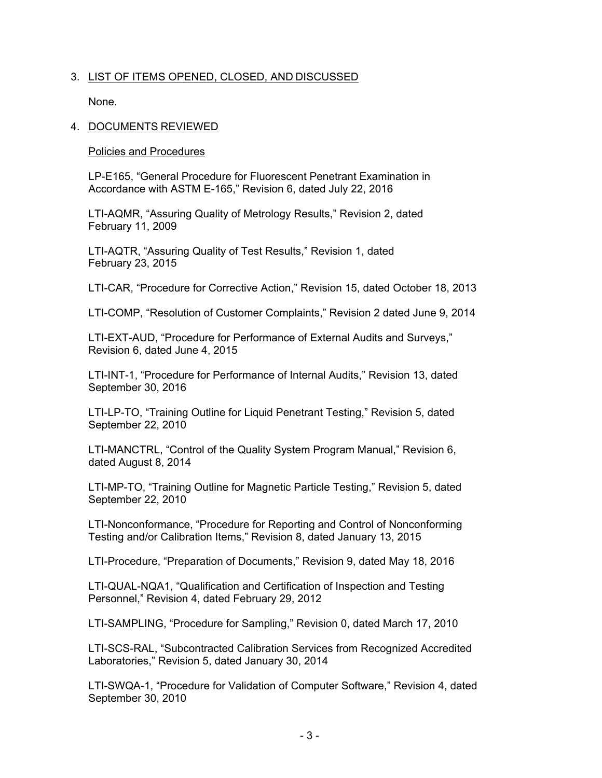# 3. LIST OF ITEMS OPENED, CLOSED, AND DISCUSSED

None.

# 4. DOCUMENTS REVIEWED

Policies and Procedures

LP-E165, "General Procedure for Fluorescent Penetrant Examination in Accordance with ASTM E-165," Revision 6, dated July 22, 2016

LTI-AQMR, "Assuring Quality of Metrology Results," Revision 2, dated February 11, 2009

LTI-AQTR, "Assuring Quality of Test Results," Revision 1, dated February 23, 2015

LTI-CAR, "Procedure for Corrective Action," Revision 15, dated October 18, 2013

LTI-COMP, "Resolution of Customer Complaints," Revision 2 dated June 9, 2014

LTI-EXT-AUD, "Procedure for Performance of External Audits and Surveys," Revision 6, dated June 4, 2015

LTI-INT-1, "Procedure for Performance of Internal Audits," Revision 13, dated September 30, 2016

LTI-LP-TO, "Training Outline for Liquid Penetrant Testing," Revision 5, dated September 22, 2010

LTI-MANCTRL, "Control of the Quality System Program Manual," Revision 6, dated August 8, 2014

LTI-MP-TO, "Training Outline for Magnetic Particle Testing," Revision 5, dated September 22, 2010

LTI-Nonconformance, "Procedure for Reporting and Control of Nonconforming Testing and/or Calibration Items," Revision 8, dated January 13, 2015

LTI-Procedure, "Preparation of Documents," Revision 9, dated May 18, 2016

LTI-QUAL-NQA1, "Qualification and Certification of Inspection and Testing Personnel," Revision 4, dated February 29, 2012

LTI-SAMPLING, "Procedure for Sampling," Revision 0, dated March 17, 2010

LTI-SCS-RAL, "Subcontracted Calibration Services from Recognized Accredited Laboratories," Revision 5, dated January 30, 2014

LTI-SWQA-1, "Procedure for Validation of Computer Software," Revision 4, dated September 30, 2010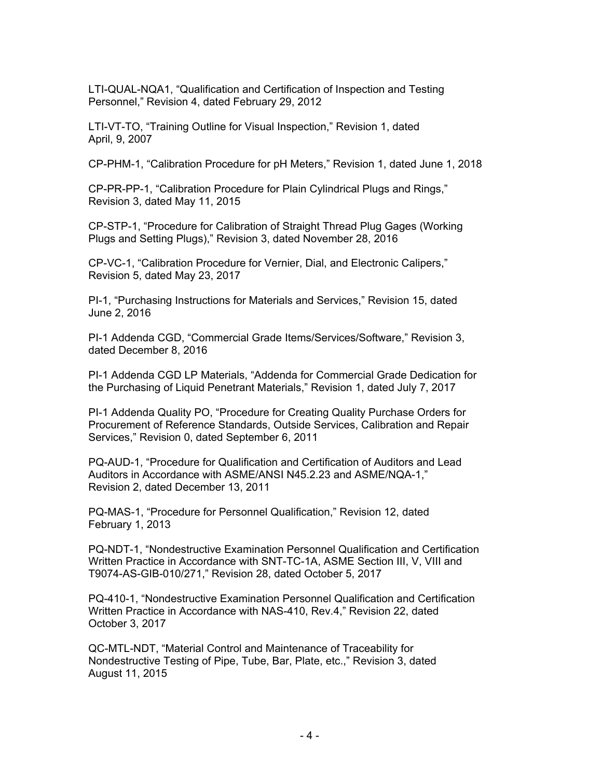LTI-QUAL-NQA1, "Qualification and Certification of Inspection and Testing Personnel," Revision 4, dated February 29, 2012

LTI-VT-TO, "Training Outline for Visual Inspection," Revision 1, dated April, 9, 2007

CP-PHM-1, "Calibration Procedure for pH Meters," Revision 1, dated June 1, 2018

CP-PR-PP-1, "Calibration Procedure for Plain Cylindrical Plugs and Rings," Revision 3, dated May 11, 2015

CP-STP-1, "Procedure for Calibration of Straight Thread Plug Gages (Working Plugs and Setting Plugs)," Revision 3, dated November 28, 2016

CP-VC-1, "Calibration Procedure for Vernier, Dial, and Electronic Calipers," Revision 5, dated May 23, 2017

PI-1, "Purchasing Instructions for Materials and Services," Revision 15, dated June 2, 2016

PI-1 Addenda CGD, "Commercial Grade Items/Services/Software," Revision 3, dated December 8, 2016

PI-1 Addenda CGD LP Materials, "Addenda for Commercial Grade Dedication for the Purchasing of Liquid Penetrant Materials," Revision 1, dated July 7, 2017

PI-1 Addenda Quality PO, "Procedure for Creating Quality Purchase Orders for Procurement of Reference Standards, Outside Services, Calibration and Repair Services," Revision 0, dated September 6, 2011

PQ-AUD-1, "Procedure for Qualification and Certification of Auditors and Lead Auditors in Accordance with ASME/ANSI N45.2.23 and ASME/NQA-1," Revision 2, dated December 13, 2011

PQ-MAS-1, "Procedure for Personnel Qualification," Revision 12, dated February 1, 2013

PQ-NDT-1, "Nondestructive Examination Personnel Qualification and Certification Written Practice in Accordance with SNT-TC-1A, ASME Section III, V, VIII and T9074-AS-GIB-010/271," Revision 28, dated October 5, 2017

PQ-410-1, "Nondestructive Examination Personnel Qualification and Certification Written Practice in Accordance with NAS-410, Rev.4," Revision 22, dated October 3, 2017

QC-MTL-NDT, "Material Control and Maintenance of Traceability for Nondestructive Testing of Pipe, Tube, Bar, Plate, etc.," Revision 3, dated August 11, 2015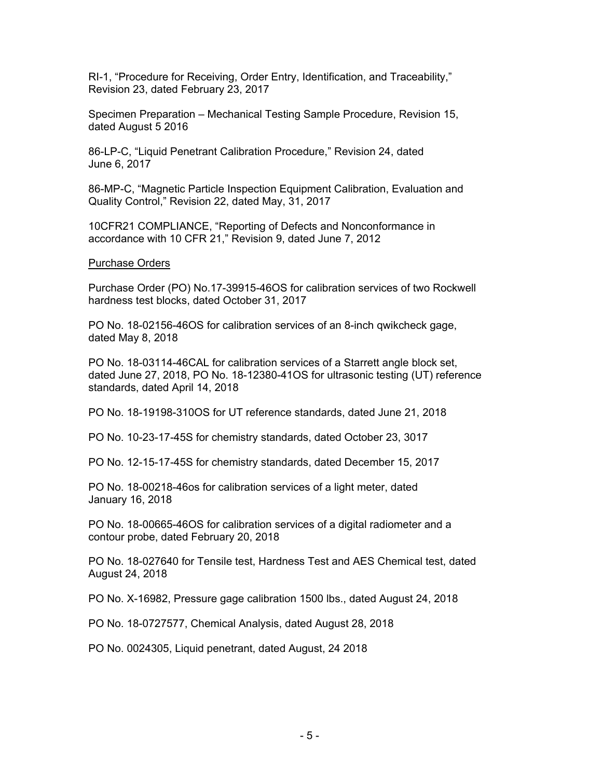RI-1, "Procedure for Receiving, Order Entry, Identification, and Traceability," Revision 23, dated February 23, 2017

Specimen Preparation – Mechanical Testing Sample Procedure, Revision 15, dated August 5 2016

86-LP-C, "Liquid Penetrant Calibration Procedure," Revision 24, dated June 6, 2017

86-MP-C, "Magnetic Particle Inspection Equipment Calibration, Evaluation and Quality Control," Revision 22, dated May, 31, 2017

10CFR21 COMPLIANCE, "Reporting of Defects and Nonconformance in accordance with 10 CFR 21," Revision 9, dated June 7, 2012

#### Purchase Orders

Purchase Order (PO) No.17-39915-46OS for calibration services of two Rockwell hardness test blocks, dated October 31, 2017

PO No. 18-02156-46OS for calibration services of an 8-inch qwikcheck gage, dated May 8, 2018

PO No. 18-03114-46CAL for calibration services of a Starrett angle block set, dated June 27, 2018, PO No. 18-12380-41OS for ultrasonic testing (UT) reference standards, dated April 14, 2018

PO No. 18-19198-310OS for UT reference standards, dated June 21, 2018

PO No. 10-23-17-45S for chemistry standards, dated October 23, 3017

PO No. 12-15-17-45S for chemistry standards, dated December 15, 2017

PO No. 18-00218-46os for calibration services of a light meter, dated January 16, 2018

PO No. 18-00665-46OS for calibration services of a digital radiometer and a contour probe, dated February 20, 2018

PO No. 18-027640 for Tensile test, Hardness Test and AES Chemical test, dated August 24, 2018

PO No. X-16982, Pressure gage calibration 1500 lbs., dated August 24, 2018

PO No. 18-0727577, Chemical Analysis, dated August 28, 2018

PO No. 0024305, Liquid penetrant, dated August, 24 2018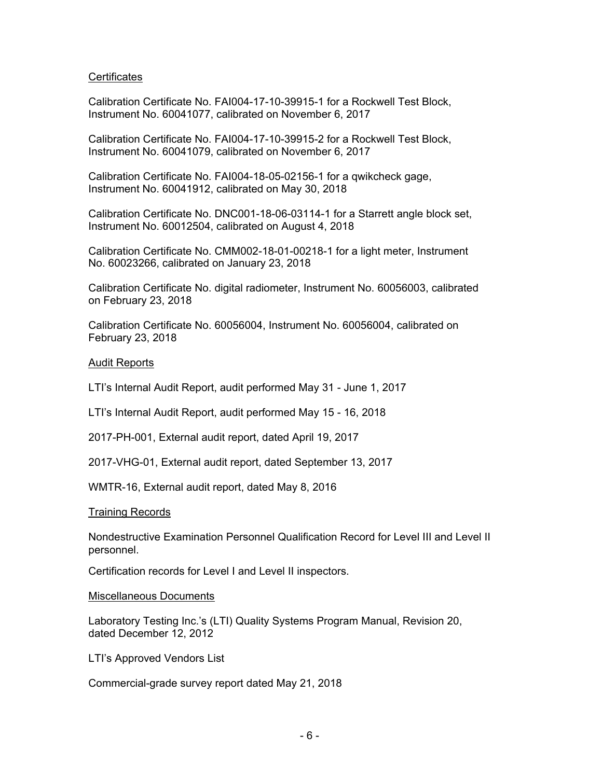## **Certificates**

Calibration Certificate No. FAI004-17-10-39915-1 for a Rockwell Test Block, Instrument No. 60041077, calibrated on November 6, 2017

Calibration Certificate No. FAI004-17-10-39915-2 for a Rockwell Test Block, Instrument No. 60041079, calibrated on November 6, 2017

Calibration Certificate No. FAI004-18-05-02156-1 for a qwikcheck gage, Instrument No. 60041912, calibrated on May 30, 2018

Calibration Certificate No. DNC001-18-06-03114-1 for a Starrett angle block set, Instrument No. 60012504, calibrated on August 4, 2018

Calibration Certificate No. CMM002-18-01-00218-1 for a light meter, Instrument No. 60023266, calibrated on January 23, 2018

Calibration Certificate No. digital radiometer, Instrument No. 60056003, calibrated on February 23, 2018

Calibration Certificate No. 60056004, Instrument No. 60056004, calibrated on February 23, 2018

#### Audit Reports

LTI's Internal Audit Report, audit performed May 31 - June 1, 2017

LTI's Internal Audit Report, audit performed May 15 - 16, 2018

2017-PH-001, External audit report, dated April 19, 2017

2017-VHG-01, External audit report, dated September 13, 2017

WMTR-16, External audit report, dated May 8, 2016

#### Training Records

Nondestructive Examination Personnel Qualification Record for Level III and Level II personnel.

Certification records for Level I and Level II inspectors.

#### Miscellaneous Documents

Laboratory Testing Inc.'s (LTI) Quality Systems Program Manual, Revision 20, dated December 12, 2012

LTI's Approved Vendors List

Commercial-grade survey report dated May 21, 2018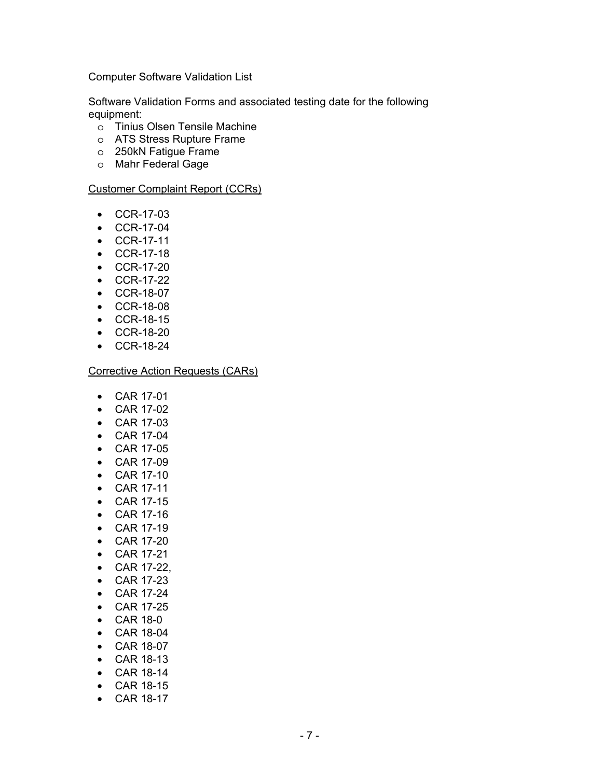Computer Software Validation List

Software Validation Forms and associated testing date for the following equipment:

- o Tinius Olsen Tensile Machine
- o ATS Stress Rupture Frame
- o 250kN Fatigue Frame
- o Mahr Federal Gage

#### Customer Complaint Report (CCRs)

- CCR-17-03
- CCR-17-04
- CCR-17-11
- CCR-17-18
- CCR-17-20
- CCR-17-22
- CCR-18-07
- CCR-18-08
- CCR-18-15
- CCR-18-20
- CCR-18-24

#### Corrective Action Requests (CARs)

- CAR 17-01
- CAR 17-02
- CAR 17-03
- CAR 17-04
- CAR 17-05
- CAR 17-09
- CAR 17-10
- CAR 17-11
- CAR 17-15
- CAR 17-16
- CAR 17-19
- CAR 17-20
- CAR 17-21
- CAR 17-22,
- CAR 17-23
- CAR 17-24
- CAR 17-25
- CAR 18-0
- CAR 18-04
- CAR 18-07
- CAR 18-13
- CAR 18-14
- CAR 18-15
- CAR 18-17